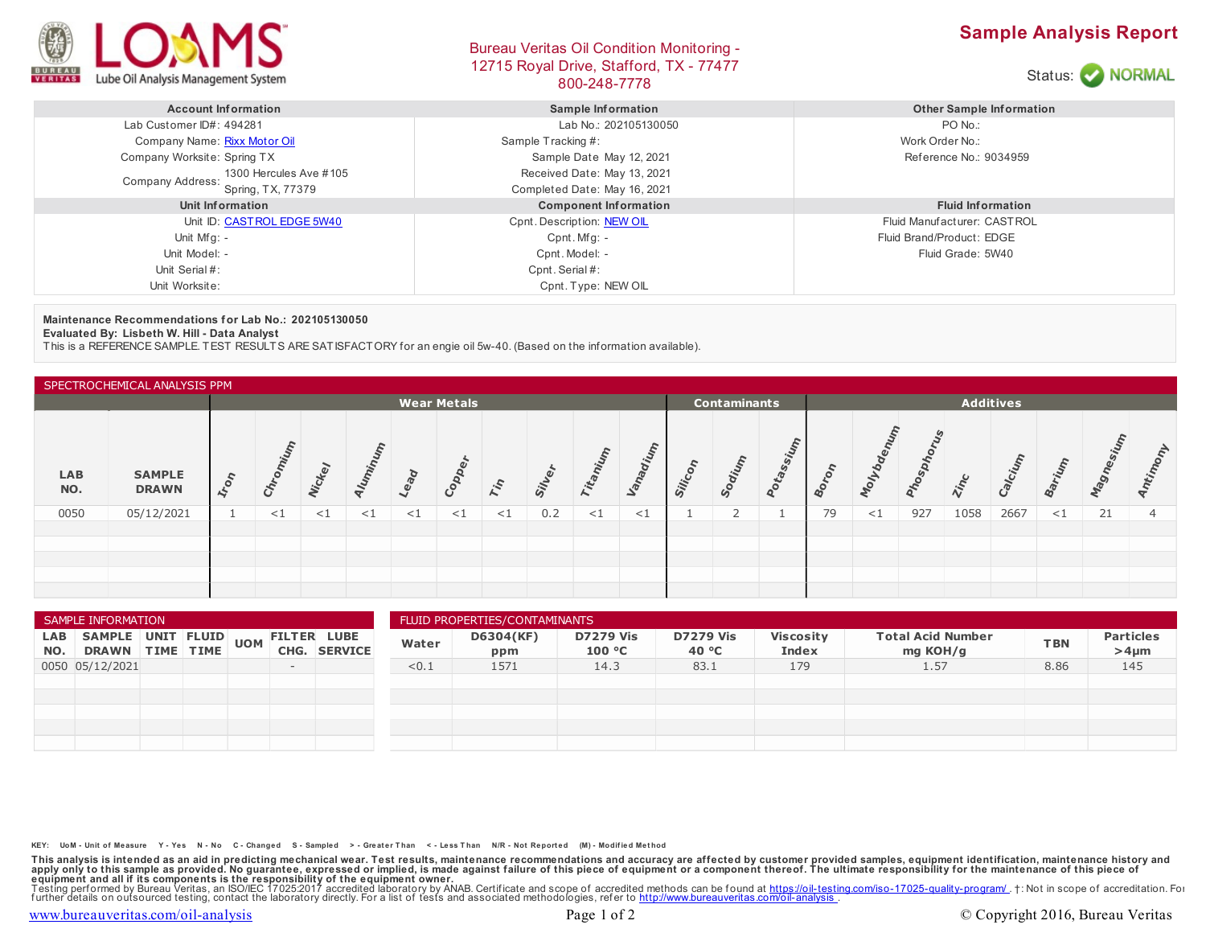

## Bureau Veritas Oil Condition Monitoring - 12715 Royal Drive, Stafford, TX - 77477 BOO-248-7778<br>800-248-7778





| <b>Account Information</b>                   | Sample Information           | <b>Other Sample Information</b> |  |  |  |
|----------------------------------------------|------------------------------|---------------------------------|--|--|--|
| Lab Customer ID#: 494281                     | Lab No.: 202105130050        | PO No.:                         |  |  |  |
| Company Name: Rixx Motor Oil                 | Sample Tracking #:           | Work Order No.:                 |  |  |  |
| Company Worksite: Spring TX                  | Sample Date May 12, 2021     | Reference No.: 9034959          |  |  |  |
| 1300 Hercules Ave #105                       | Received Date: May 13, 2021  |                                 |  |  |  |
| <b>Company Address:</b><br>Spring, TX, 77379 | Completed Date: May 16, 2021 |                                 |  |  |  |
| Unit Information                             | <b>Component Information</b> | <b>Fluid Information</b>        |  |  |  |
| Unit ID: CAST ROL EDGE 5W40                  | Cpnt. Description: NEW OIL   | Fluid Manufacturer: CASTROL     |  |  |  |
| Unit Mfg: -                                  | Cpnt. Mfg: -                 | Fluid Brand/Product: EDGE       |  |  |  |
| Unit Model: -                                | Cpnt. Model: -               | Fluid Grade: 5W40               |  |  |  |
| Unit Serial #:                               | Cpnt. Serial #:              |                                 |  |  |  |
| Unit Worksite:                               | Cpnt. Type: NEW OIL          |                                 |  |  |  |

**Maintenance Recommendations for Lab No.: 202105130050**

**Evaluated By: Lisbeth W. Hill - Data Analyst**

This is a REFERENCE SAMPLE. TEST RESULTS ARE SATISFACTORY for an engie oil 5w-40. (Based on the information available).

| SPECTROCHEMICAL ANALYSIS PPM |                               |                    |        |               |       |        |        |       |                                         |          |          |         |               |       |    |        |              |             |       |          |      |       |
|------------------------------|-------------------------------|--------------------|--------|---------------|-------|--------|--------|-------|-----------------------------------------|----------|----------|---------|---------------|-------|----|--------|--------------|-------------|-------|----------|------|-------|
|                              |                               | <b>Wear Metals</b> |        |               |       |        |        |       | <b>Additives</b><br><b>Contaminants</b> |          |          |         |               |       |    |        |              |             |       |          |      |       |
| <b>LAB</b><br>NO.            | <b>SAMPLE</b><br><b>DRAWN</b> | $\epsilon$<br>tro  |        | <b>Vickey</b> | Iumin | Lead   | Copp   | Tin   | Sil                                     | Titani   | Vanadium | Silicon | <b>United</b> | Dtass |    | olvo   | <b>Mospi</b> | <b>Zinc</b> | alciu | ariun    | ange | Antin |
| 0050                         | 05/12/2021                    |                    | ${<}1$ | $\leq$ 1      | <1    | ${<}1$ | ${<}1$ | $<$ 1 | 0.2                                     | $\leq$ 1 | $\leq$ 1 |         |               |       | 79 | ${<}1$ | 927          | 1058        | 2667  | $\leq$ 1 | 21   |       |
|                              |                               |                    |        |               |       |        |        |       |                                         |          |          |         |               |       |    |        |              |             |       |          |      |       |
|                              |                               |                    |        |               |       |        |        |       |                                         |          |          |         |               |       |    |        |              |             |       |          |      |       |
|                              |                               |                    |        |               |       |        |        |       |                                         |          |          |         |               |       |    |        |              |             |       |          |      |       |
|                              |                               |                    |        |               |       |        |        |       |                                         |          |          |         |               |       |    |        |              |             |       |          |      |       |

| SAMPLE INFORMATION |                                      |  |  |            |      |                                      | FLUID PROPERTIES/CONTAMINANTS |                  |                            |                           |                           |                                      |            |                                |  |  |
|--------------------|--------------------------------------|--|--|------------|------|--------------------------------------|-------------------------------|------------------|----------------------------|---------------------------|---------------------------|--------------------------------------|------------|--------------------------------|--|--|
| LAB<br>NO.         | SAMPLE UNIT FLUID<br>DRAWN TIME TIME |  |  | <b>UOM</b> | CHG. | <b>FILTER LUBE</b><br><b>SERVICE</b> | Water                         | D6304(KF)<br>ppm | <b>D7279 Vis</b><br>100 °C | <b>D7279 Vis</b><br>40 °C | <b>Viscosity</b><br>Index | <b>Total Acid Number</b><br>mg KOH/g | <b>TBN</b> | <b>Particles</b><br>$>4 \mu m$ |  |  |
|                    | 0050 05/12/2021                      |  |  |            | $-$  |                                      | < 0.1                         | 1571             | 14.3                       | 83.1                      | 179                       | 1.57                                 | 8.86       | 145                            |  |  |
|                    |                                      |  |  |            |      |                                      |                               |                  |                            |                           |                           |                                      |            |                                |  |  |
|                    |                                      |  |  |            |      |                                      |                               |                  |                            |                           |                           |                                      |            |                                |  |  |
|                    |                                      |  |  |            |      |                                      |                               |                  |                            |                           |                           |                                      |            |                                |  |  |
|                    |                                      |  |  |            |      |                                      |                               |                  |                            |                           |                           |                                      |            |                                |  |  |
|                    |                                      |  |  |            |      |                                      |                               |                  |                            |                           |                           |                                      |            |                                |  |  |

KEY: UoM - Unit of Measure Y - Yes N - No C - Changed S - Sampled > - Greater Than < - Less Than N/R - Not Reported (M) - Modified Method

This analysis is intended as an aid in predicting mechanical wear. Test results, maintenance recommendations and accuracy are affected by customer provided samples, equipment identification, maintenance history and equipme